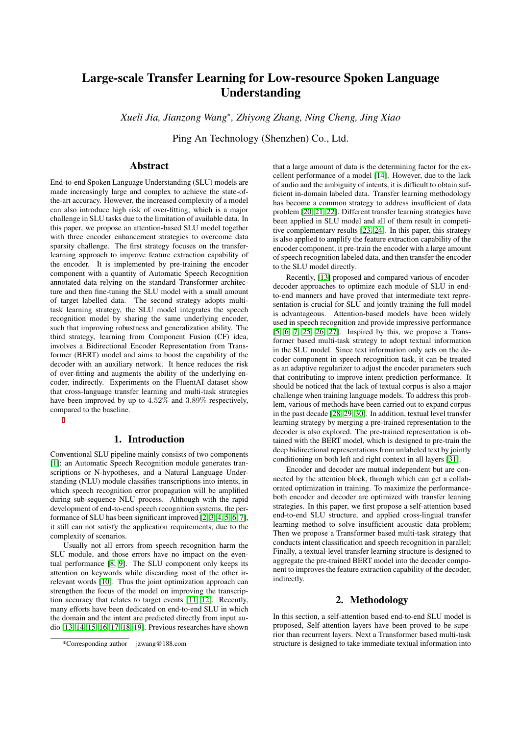# Large-scale Transfer Learning for Low-resource Spoken Language Understanding

*Xueli Jia, Jianzong Wang*<sup>∗</sup> *, Zhiyong Zhang, Ning Cheng, Jing Xiao*

Ping An Technology (Shenzhen) Co., Ltd.

# Abstract

End-to-end Spoken Language Understanding (SLU) models are made increasingly large and complex to achieve the state-ofthe-art accuracy. However, the increased complexity of a model can also introduce high risk of over-fitting, which is a major challenge in SLU tasks due to the limitation of available data. In this paper, we propose an attention-based SLU model together with three encoder enhancement strategies to overcome data sparsity challenge. The first strategy focuses on the transferlearning approach to improve feature extraction capability of the encoder. It is implemented by pre-training the encoder component with a quantity of Automatic Speech Recognition annotated data relying on the standard Transformer architecture and then fine-tuning the SLU model with a small amount of target labelled data. The second strategy adopts multitask learning strategy, the SLU model integrates the speech recognition model by sharing the same underlying encoder, such that improving robustness and generalization ability. The third strategy, learning from Component Fusion (CF) idea, involves a Bidirectional Encoder Representation from Transformer (BERT) model and aims to boost the capability of the decoder with an auxiliary network. It hence reduces the risk of over-fitting and augments the ability of the underlying encoder, indirectly. Experiments on the FluentAI dataset show that cross-language transfer learning and multi-task strategies have been improved by up to 4.52% and 3.89% respectively, compared to the baseline.

# 1. Introduction

Conventional SLU pipeline mainly consists of two components [\[1\]](#page-4-0): an Automatic Speech Recognition module generates transcriptions or N-hypotheses, and a Natural Language Understanding (NLU) module classifies transcriptions into intents, in which speech recognition error propagation will be amplified during sub-sequence NLU process. Although with the rapid development of end-to-end speech recognition systems, the performance of SLU has been significant improved [\[2,](#page-4-1) [3,](#page-4-2) [4,](#page-4-3) [5,](#page-4-4) [6,](#page-4-5) [7\]](#page-4-6), it still can not satisfy the application requirements, due to the complexity of scenarios.

Usually not all errors from speech recognition harm the SLU module, and those errors have no impact on the eventual performance [\[8,](#page-4-7) [9\]](#page-4-8). The SLU component only keeps its attention on keywords while discarding most of the other irrelevant words [\[10\]](#page-4-9). Thus the joint optimization approach can strengthen the focus of the model on improving the transcription accuracy that relates to target events [\[11,](#page-4-10) [12\]](#page-4-11). Recently, many efforts have been dedicated on end-to-end SLU in which the domain and the intent are predicted directly from input audio [\[13,](#page-4-12) [14,](#page-4-13) [15,](#page-4-14) [16,](#page-4-15) [17,](#page-4-16) [18,](#page-4-17) [19\]](#page-4-18). Previous researches have shown

that a large amount of data is the determining factor for the excellent performance of a model [\[14\]](#page-4-13). However, due to the lack of audio and the ambiguity of intents, it is difficult to obtain sufficient in-domain labeled data. Transfer learning methodology has become a common strategy to address insufficient of data problem [\[20,](#page-4-19) [21,](#page-4-20) [22\]](#page-4-21). Different transfer learning strategies have been applied in SLU model and all of them result in competitive complementary results [\[23,](#page-4-22) [24\]](#page-4-23). In this paper, this strategy is also applied to amplify the feature extraction capability of the encoder component, it pre-train the encoder with a large amount of speech recognition labeled data, and then transfer the encoder to the SLU model directly.

Recently, [\[13\]](#page-4-12) proposed and compared various of encoderdecoder approaches to optimize each module of SLU in endto-end manners and have proved that intermediate text representation is crucial for SLU and jointly training the full model is advantageous. Attention-based models have been widely used in speech recognition and provide impressive performance [\[5,](#page-4-4) [6,](#page-4-5) [7,](#page-4-6) [25,](#page-4-24) [26,](#page-4-25) [27\]](#page-4-26). Inspired by this, we propose a Transformer based multi-task strategy to adopt textual information in the SLU model. Since text information only acts on the decoder component in speech recognition task, it can be treated as an adaptive regularizer to adjust the encoder parameters such that contributing to improve intent prediction performance. It should be noticed that the lack of textual corpus is also a major challenge when training language models. To address this problem, various of methods have been carried out to expand corpus in the past decade [\[28,](#page-4-27) [29,](#page-4-28) [30\]](#page-4-29). In addition, textual level transfer learning strategy by merging a pre-trained representation to the decoder is also explored. The pre-trained representation is obtained with the BERT model, which is designed to pre-train the deep bidirectional representations from unlabeled text by jointly conditioning on both left and right context in all layers [\[31\]](#page-4-30).

Encoder and decoder are mutual independent but are connected by the attention block, through which can get a collaborated optimization in training. To maximize the performanceboth encoder and decoder are optimized with transfer leaning strategies. In this paper, we first propose a self-attention based end-to-end SLU structure, and applied cross-lingual transfer learning method to solve insufficient acoustic data problem; Then we propose a Transformer based multi-task strategy that conducts intent classification and speech recognition in parallel; Finally, a textual-level transfer learning structure is designed to aggregate the pre-trained BERT model into the decoder component to improves the feature extraction capability of the decoder, indirectly.

# 2. Methodology

In this section, a self-attention based end-to-end SLU model is proposed, Self-attention layers have been proved to be superior than recurrent layers. Next a Transformer based multi-task structure is designed to take immediate textual information into

<sup>\*</sup>Corresponding author jzwang@188.com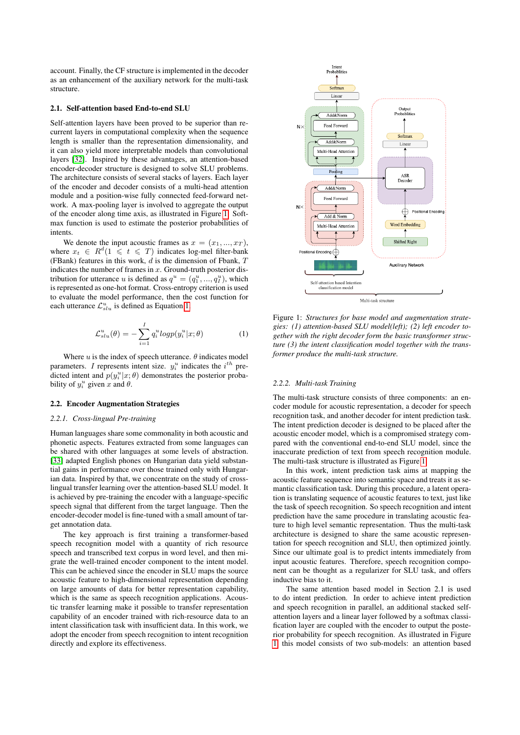account. Finally, the CF structure is implemented in the decoder as an enhancement of the auxiliary network for the multi-task structure.

#### <span id="page-1-2"></span>2.1. Self-attention based End-to-end SLU

Self-attention layers have been proved to be superior than recurrent layers in computational complexity when the sequence length is smaller than the representation dimensionality, and it can also yield more interpretable models than convolutional layers [\[32\]](#page-4-31). Inspired by these advantages, an attention-based encoder-decoder structure is designed to solve SLU problems. The architecture consists of several stacks of layers. Each layer of the encoder and decoder consists of a multi-head attention module and a position-wise fully connected feed-forward network. A max-pooling layer is involved to aggregate the output of the encoder along time axis, as illustrated in Figure [1.](#page-1-0) Softmax function is used to estimate the posterior probabilities of intents.

We denote the input acoustic frames as  $x = (x_1, ..., x_T)$ , where  $x_t \in R^d (1 \leq t \leq T)$  indicates log-mel filter-bank (FBank) features in this work,  $d$  is the dimension of Fbank,  $T$ indicates the number of frames in  $x$ . Ground-truth posterior distribution for utterance u is defined as  $q^u = (q_1^u, ..., q_l^u)$ , which is represented as one-hot format. Cross-entropy criterion is used to evaluate the model performance, then the cost function for each utterance  $\mathcal{L}_{slu}^u$  is defined as Equation [1.](#page-1-1)

<span id="page-1-1"></span>
$$
\mathcal{L}_{slu}^{u}(\theta) = -\sum_{i=1}^{I} q_i^{u} log p(y_i^{u}|x; \theta)
$$
 (1)

Where  $u$  is the index of speech utterance.  $\theta$  indicates model parameters. I represents intent size.  $y_i^u$  indicates the  $i^{th}$  predicted intent and  $p(y_i^u|x;\theta)$  demonstrates the posterior probability of  $y_i^u$  given x and  $\theta$ .

#### 2.2. Encoder Augmentation Strategies

#### *2.2.1. Cross-lingual Pre-training*

Human languages share some commonality in both acoustic and phonetic aspects. Features extracted from some languages can be shared with other languages at some levels of abstraction. [\[33\]](#page-4-32) adapted English phones on Hungarian data yield substantial gains in performance over those trained only with Hungarian data. Inspired by that, we concentrate on the study of crosslingual transfer learning over the attention-based SLU model. It is achieved by pre-training the encoder with a language-specific speech signal that different from the target language. Then the encoder-decoder model is fine-tuned with a small amount of target annotation data.

The key approach is first training a transformer-based speech recognition model with a quantity of rich resource speech and transcribed text corpus in word level, and then migrate the well-trained encoder component to the intent model. This can be achieved since the encoder in SLU maps the source acoustic feature to high-dimensional representation depending on large amounts of data for better representation capability, which is the same as speech recognition applications. Acoustic transfer learning make it possible to transfer representation capability of an encoder trained with rich-resource data to an intent classification task with insufficient data. In this work, we adopt the encoder from speech recognition to intent recognition directly and explore its effectiveness.

<span id="page-1-0"></span>

Figure 1: *Structures for base model and augmentation strategies: (1) attention-based SLU model(left); (2) left encoder together with the right decoder form the basic transformer structure (3) the intent classification model together with the transformer produce the multi-task structure.*

#### *2.2.2. Multi-task Training*

The multi-task structure consists of three components: an encoder module for acoustic representation, a decoder for speech recognition task, and another decoder for intent prediction task. The intent prediction decoder is designed to be placed after the acoustic encoder model, which is a compromised strategy compared with the conventional end-to-end SLU model, since the inaccurate prediction of text from speech recognition module. The multi-task structure is illustrated as Figure [1.](#page-1-0)

In this work, intent prediction task aims at mapping the acoustic feature sequence into semantic space and treats it as semantic classification task. During this procedure, a latent operation is translating sequence of acoustic features to text, just like the task of speech recognition. So speech recognition and intent prediction have the same procedure in translating acoustic feature to high level semantic representation. Thus the multi-task architecture is designed to share the same acoustic representation for speech recognition and SLU, then optimized jointly. Since our ultimate goal is to predict intents immediately from input acoustic features. Therefore, speech recognition component can be thought as a regularizer for SLU task, and offers inductive bias to it.

The same attention based model in Section 2.1 is used to do intent prediction. In order to achieve intent prediction and speech recognition in parallel, an additional stacked selfattention layers and a linear layer followed by a softmax classification layer are coupled with the encoder to output the posterior probability for speech recognition. As illustrated in Figure [1,](#page-1-0) this model consists of two sub-models: an attention based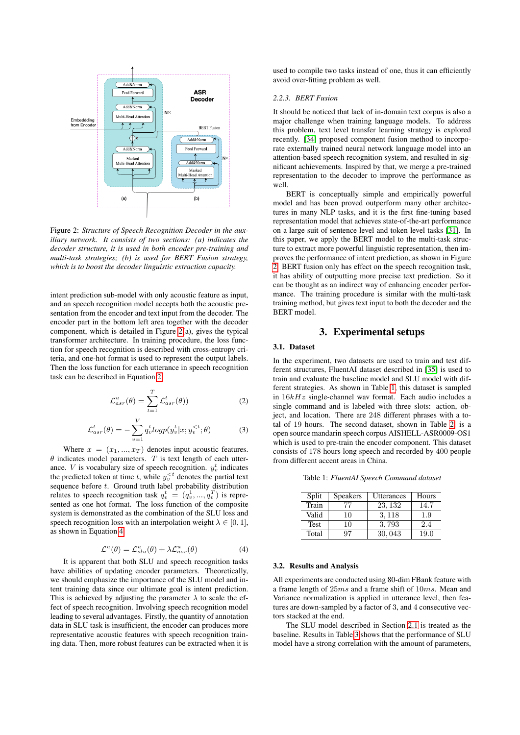<span id="page-2-0"></span>

Figure 2: *Structure of Speech Recognition Decoder in the auxiliary network. It consists of two sections: (a) indicates the decoder structure, it is used in both encoder pre-training and multi-task strategies; (b) is used for BERT Fusion strategy, which is to boost the decoder linguistic extraction capacity.*

intent prediction sub-model with only acoustic feature as input, and an speech recognition model accepts both the acoustic presentation from the encoder and text input from the decoder. The encoder part in the bottom left area together with the decoder component, which is detailed in Figure [2\(](#page-2-0)a), gives the typical transformer architecture. In training procedure, the loss function for speech recognition is described with cross-entropy criteria, and one-hot format is used to represent the output labels. Then the loss function for each utterance in speech recognition task can be described in Equation [2.](#page-2-1)

<span id="page-2-1"></span>
$$
\mathcal{L}_{asr}^{u}(\theta) = \sum_{t=1}^{T} \mathcal{L}_{asr}^{t}(\theta)
$$
\n(2)

$$
\mathcal{L}_{asr}^{t}(\theta) = -\sum_{v=1}^{V} q_v^t log p(y_v^t | x; y_v^{&t}; \theta)
$$
 (3)

Where  $x = (x_1, ..., x_T)$  denotes input acoustic features.  $\theta$  indicates model parameters. T is text length of each utterance. *V* is vocabulary size of speech recognition.  $y_v^t$  indicates the predicted token at time t, while  $y_v^{\leq t}$  denotes the partial text sequence before  $t$ . Ground truth label probability distribution relates to speech recognition task  $q_v^t = (q_v^1, ..., q_v^T)$  is represented as one hot format. The loss function of the composite system is demonstrated as the combination of the SLU loss and speech recognition loss with an interpolation weight  $\lambda \in [0, 1]$ , as shown in Equation [4.](#page-2-2)

<span id="page-2-2"></span>
$$
\mathcal{L}^u(\theta) = \mathcal{L}^u_{slu}(\theta) + \lambda \mathcal{L}^u_{asr}(\theta)
$$
 (4)

It is apparent that both SLU and speech recognition tasks have abilities of updating encoder parameters. Theoretically, we should emphasize the importance of the SLU model and intent training data since our ultimate goal is intent prediction. This is achieved by adjusting the parameter  $\lambda$  to scale the effect of speech recognition. Involving speech recognition model leading to several advantages. Firstly, the quantity of annotation data in SLU task is insufficient, the encoder can produces more representative acoustic features with speech recognition training data. Then, more robust features can be extracted when it is used to compile two tasks instead of one, thus it can efficiently avoid over-fitting problem as well.

#### *2.2.3. BERT Fusion*

It should be noticed that lack of in-domain text corpus is also a major challenge when training language models. To address this problem, text level transfer learning strategy is explored recently. [\[34\]](#page-4-33) proposed component fusion method to incorporate externally trained neural network language model into an attention-based speech recognition system, and resulted in significant achievements. Inspired by that, we merge a pre-trained representation to the decoder to improve the performance as well.

BERT is conceptually simple and empirically powerful model and has been proved outperform many other architectures in many NLP tasks, and it is the first fine-tuning based representation model that achieves state-of-the-art performance on a large suit of sentence level and token level tasks [\[31\]](#page-4-30). In this paper, we apply the BERT model to the multi-task structure to extract more powerful linguistic representation, then improves the performance of intent prediction, as shown in Figure [2.](#page-2-0) BERT fusion only has effect on the speech recognition task, it has ability of outputting more precise text prediction. So it can be thought as an indirect way of enhancing encoder performance. The training procedure is similar with the multi-task training method, but gives text input to both the decoder and the BERT model.

# 3. Experimental setups

#### 3.1. Dataset

In the experiment, two datasets are used to train and test different structures, FluentAI dataset described in [\[35\]](#page-4-34) is used to train and evaluate the baseline model and SLU model with different strategies. As shown in Table [1,](#page-2-3) this dataset is sampled in  $16kHz$  single-channel wav format. Each audio includes a single command and is labeled with three slots: action, object, and location. There are 248 different phrases with a total of 19 hours. The second dataset, shown in Table [2,](#page-3-0) is a open source mandarin speech corpus AISHELL-ASR0009-OS1 which is used to pre-train the encoder component. This dataset consists of 178 hours long speech and recorded by 400 people from different accent areas in China.

<span id="page-2-3"></span>Table 1: *FluentAI Speech Command dataset*

| Split       | <b>Speakers</b> | Utterances | Hours |
|-------------|-----------------|------------|-------|
| Train       | 77              | 23, 132    | 14.7  |
| Valid       | 10              | 3, 118     | 1.9   |
| <b>Test</b> | 10              | 3,793      | 2.4   |
| Total       | 97              | 30,043     | 19.0  |

#### 3.2. Results and Analysis

All experiments are conducted using 80-dim FBank feature with a frame length of 25ms and a frame shift of 10ms. Mean and Variance normalization is applied in utterance level, then features are down-sampled by a factor of 3, and 4 consecutive vectors stacked at the end.

The SLU model described in Section [2.1](#page-1-2) is treated as the baseline. Results in Table [3](#page-3-1) shows that the performance of SLU model have a strong correlation with the amount of parameters,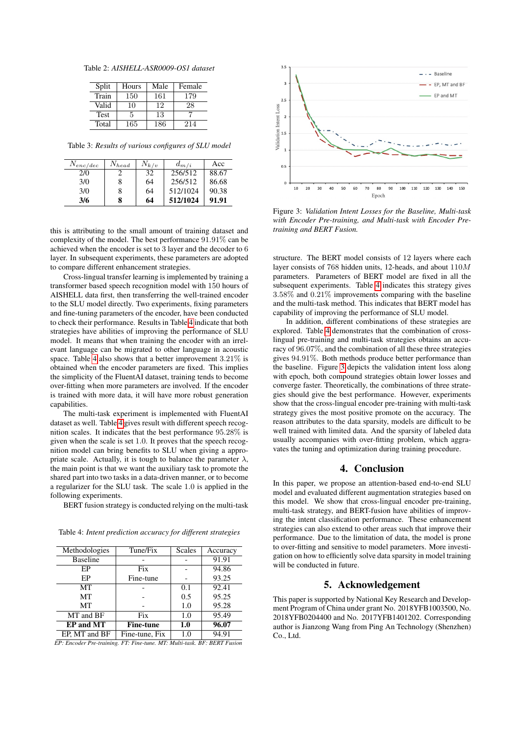<span id="page-3-0"></span>Table 2: *AISHELL-ASR0009-OS1 dataset*

| Split       | Hours | Male | Female |
|-------------|-------|------|--------|
| Train       | 150   | 161  | 179    |
| Valid       | 10    | 12   | 28     |
| <b>Test</b> | 5     | 13   |        |
| Total       | 165   | 186  | 214    |

<span id="page-3-1"></span>Table 3: *Results of various configures of SLU model*

| $N_{enc/dec}$ | $N_{head}$ | $N_{k/v}$ | $d_{m/i}$ | Acc   |
|---------------|------------|-----------|-----------|-------|
| 2/0           |            | 32        | 256/512   | 88.67 |
| 3/0           | 8          | 64        | 256/512   | 86.68 |
| 3/0           | 8          | 64        | 512/1024  | 90.38 |
| 3/6           | 8          | 64        | 512/1024  | 91.91 |

this is attributing to the small amount of training dataset and complexity of the model. The best performance 91.91% can be achieved when the encoder is set to 3 layer and the decoder to 6 layer. In subsequent experiments, these parameters are adopted to compare different enhancement strategies.

Cross-lingual transfer learning is implemented by training a transformer based speech recognition model with 150 hours of AISHELL data first, then transferring the well-trained encoder to the SLU model directly. Two experiments, fixing parameters and fine-tuning parameters of the encoder, have been conducted to check their performance. Results in Table [4](#page-3-2) indicate that both strategies have abilities of improving the performance of SLU model. It means that when training the encoder with an irrelevant language can be migrated to other language in acoustic space. Table [4](#page-3-2) also shows that a better improvement 3.21% is obtained when the encoder parameters are fixed. This implies the simplicity of the FluentAI dataset, training tends to become over-fitting when more parameters are involved. If the encoder is trained with more data, it will have more robust generation capabilities.

The multi-task experiment is implemented with FluentAI dataset as well. Table [4](#page-3-2) gives result with different speech recognition scales. It indicates that the best performance 95.28% is given when the scale is set 1.0. It proves that the speech recognition model can bring benefits to SLU when giving a appropriate scale. Actually, it is tough to balance the parameter  $\lambda$ , the main point is that we want the auxiliary task to promote the shared part into two tasks in a data-driven manner, or to become a regularizer for the SLU task. The scale 1.0 is applied in the following experiments.

BERT fusion strategy is conducted relying on the multi-task

| Methodologies    | Tune/Fix         | Scales | Accuracy |
|------------------|------------------|--------|----------|
| <b>Baseline</b>  |                  |        | 91.91    |
| EP               | Fix              |        | 94.86    |
| EP               | Fine-tune        |        | 93.25    |
| MТ               |                  | 0.1    | 92.41    |
| МT               |                  | 0.5    | 95.25    |
| МT               |                  | 1.0    | 95.28    |
| MT and BF        | Fix              | 1.0    | 95.49    |
| <b>EP</b> and MT | <b>Fine-tune</b> | 1.0    | 96.07    |
| EP, MT and BF    | Fine-tune, Fix   | 1.0    | 94.91    |

<span id="page-3-2"></span>Table 4: *Intent prediction accuracy for different strategies*

*EP: Encoder Pre-training. FT: Fine-tune. MT: Multi-task. BF: BERT Fusion*

<span id="page-3-3"></span>

Figure 3: *Validation Intent Losses for the Baseline, Multi-task with Encoder Pre-training, and Multi-task with Encoder Pretraining and BERT Fusion.*

structure. The BERT model consists of 12 layers where each layer consists of 768 hidden units, 12-heads, and about 110M parameters. Parameters of BERT model are fixed in all the subsequent experiments. Table [4](#page-3-2) indicates this strategy gives 3.58% and 0.21% improvements comparing with the baseline and the multi-task method. This indicates that BERT model has capability of improving the performance of SLU model.

In addition, different combinations of these strategies are explored. Table [4](#page-3-2) demonstrates that the combination of crosslingual pre-training and multi-task strategies obtains an accuracy of 96.07%, and the combination of all these three strategies gives 94.91%. Both methods produce better performance than the baseline. Figure [3](#page-3-3) depicts the validation intent loss along with epoch, both compound strategies obtain lower losses and converge faster. Theoretically, the combinations of three strategies should give the best performance. However, experiments show that the cross-lingual encoder pre-training with multi-task strategy gives the most positive promote on the accuracy. The reason attributes to the data sparsity, models are difficult to be well trained with limited data. And the sparsity of labeled data usually accompanies with over-fitting problem, which aggravates the tuning and optimization during training procedure.

### 4. Conclusion

In this paper, we propose an attention-based end-to-end SLU model and evaluated different augmentation strategies based on this model. We show that cross-lingual encoder pre-training, multi-task strategy, and BERT-fusion have abilities of improving the intent classification performance. These enhancement strategies can also extend to other areas such that improve their performance. Due to the limitation of data, the model is prone to over-fitting and sensitive to model parameters. More investigation on how to efficiently solve data sparsity in model training will be conducted in future.

### 5. Acknowledgement

This paper is supported by National Key Research and Development Program of China under grant No. 2018YFB1003500, No. 2018YFB0204400 and No. 2017YFB1401202. Corresponding author is Jianzong Wang from Ping An Technology (Shenzhen) Co., Ltd.